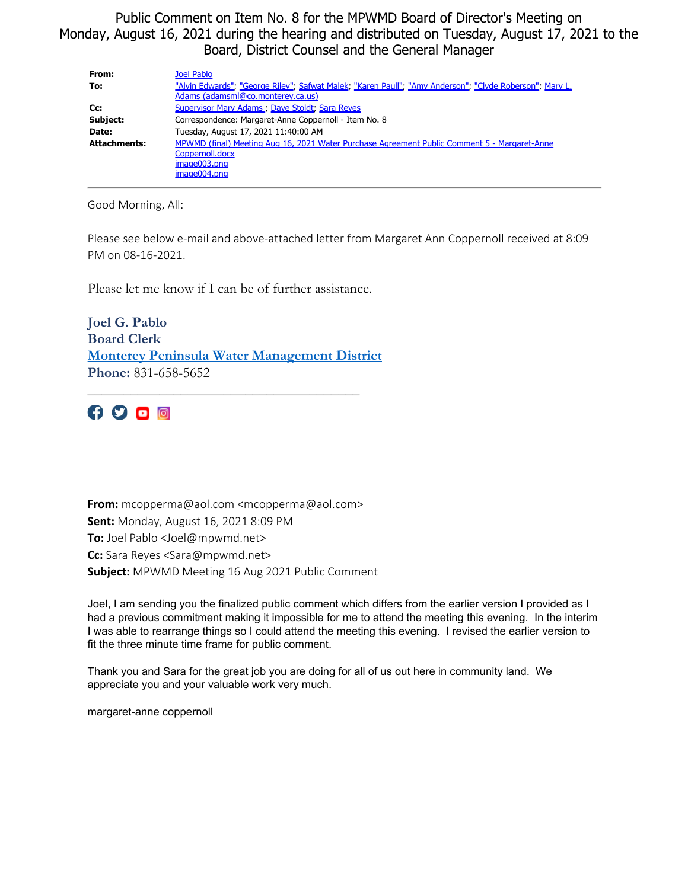Public Comment on Item No. 8 for the MPWMD Board of Director's Meeting on Monday, August 16, 2021 during the hearing and distributed on Tuesday, August 17, 2021 to the Board, District Counsel and the General Manager

| From:               | Joel Pablo                                                                                              |
|---------------------|---------------------------------------------------------------------------------------------------------|
| To:                 | "Alvin Edwards"; "George Riley"; Safwat Malek; "Karen Paull"; "Amy Anderson"; "Clyde Roberson"; Mary L. |
|                     | Adams (adamsml@co.monterey.ca.us)                                                                       |
| Cc:                 | Supervisor Mary Adams ; Dave Stoldt; Sara Reyes                                                         |
| Subject:            | Correspondence: Margaret-Anne Coppernoll - Item No. 8                                                   |
| Date:               | Tuesday, August 17, 2021 11:40:00 AM                                                                    |
| <b>Attachments:</b> | MPWMD (final) Meeting Aug 16, 2021 Water Purchase Agreement Public Comment 5 - Margaret-Anne            |
|                     | Coppernoll.docx                                                                                         |
|                     | $imae003.$ pna                                                                                          |
|                     | image004.png                                                                                            |

Good Morning, All:

Please see below e-mail and above-attached letter from Margaret Ann Coppernoll received at 8:09 PM on 08-16-2021.

Please let me know if I can be of further assistance.

**Joel G. Pablo Board Clerk [Monterey Peninsula Water Management District](https://www.mpwmd.net/) Phone:** 831-658-5652

\_\_\_\_\_\_\_\_\_\_\_\_\_\_\_\_\_\_\_\_\_\_\_\_\_\_\_\_\_\_\_\_\_\_\_\_\_\_

 $\n 4900$ 

**From:** mcopperma@aol.com <mcopperma@aol.com> **Sent:** Monday, August 16, 2021 8:09 PM **To:** Joel Pablo <Joel@mpwmd.net> **Cc:** Sara Reyes <Sara@mpwmd.net> **Subject:** MPWMD Meeting 16 Aug 2021 Public Comment

Joel, I am sending you the finalized public comment which differs from the earlier version I provided as I had a previous commitment making it impossible for me to attend the meeting this evening. In the interim I was able to rearrange things so I could attend the meeting this evening. I revised the earlier version to fit the three minute time frame for public comment.

Thank you and Sara for the great job you are doing for all of us out here in community land. We appreciate you and your valuable work very much.

margaret-anne coppernoll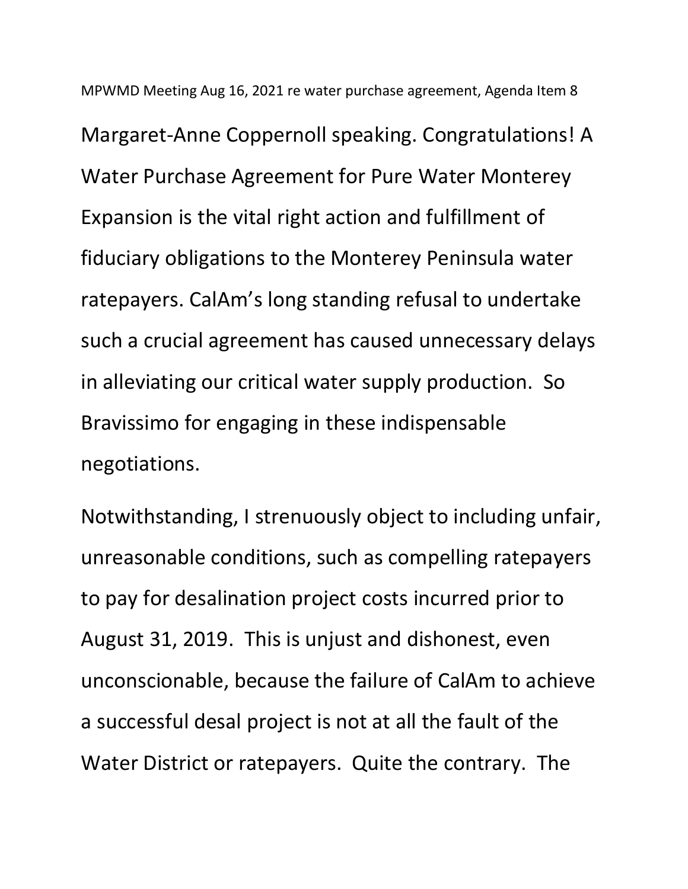MPWMD Meeting Aug 16, 2021 re water purchase agreement, Agenda Item 8 Margaret-Anne Coppernoll speaking. Congratulations! A Water Purchase Agreement for Pure Water Monterey Expansion is the vital right action and fulfillment of fiduciary obligations to the Monterey Peninsula water ratepayers. CalAm's long standing refusal to undertake such a crucial agreement has caused unnecessary delays in alleviating our critical water supply production. So Bravissimo for engaging in these indispensable negotiations.

Notwithstanding, I strenuously object to including unfair, unreasonable conditions, such as compelling ratepayers to pay for desalination project costs incurred prior to August 31, 2019. This is unjust and dishonest, even unconscionable, because the failure of CalAm to achieve a successful desal project is not at all the fault of the Water District or ratepayers. Quite the contrary. The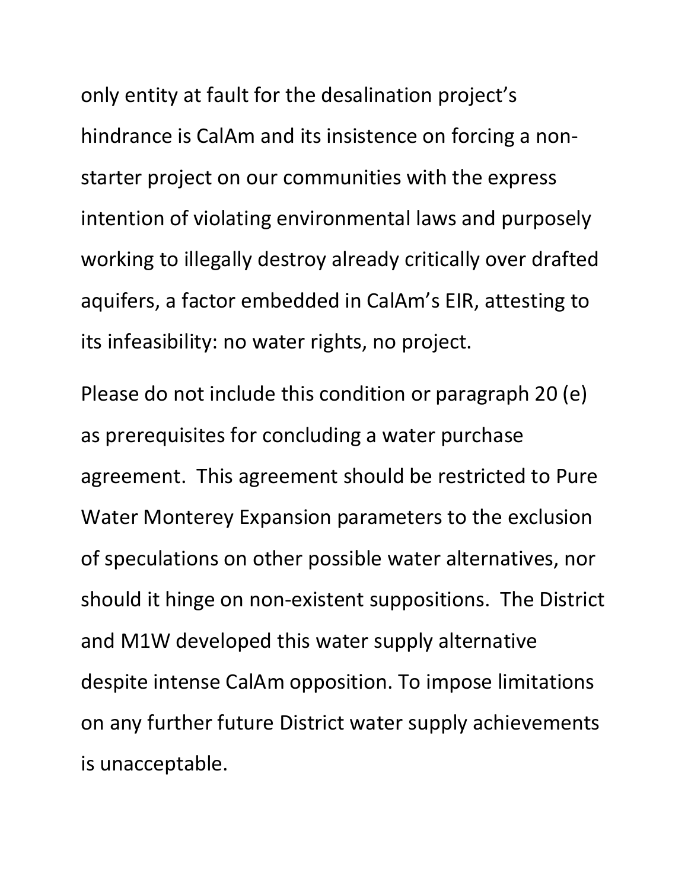only entity at fault for the desalination project's hindrance is CalAm and its insistence on forcing a nonstarter project on our communities with the express intention of violating environmental laws and purposely working to illegally destroy already critically over drafted aquifers, a factor embedded in CalAm's EIR, attesting to its infeasibility: no water rights, no project.

Please do not include this condition or paragraph 20 (e) as prerequisites for concluding a water purchase agreement. This agreement should be restricted to Pure Water Monterey Expansion parameters to the exclusion of speculations on other possible water alternatives, nor should it hinge on non-existent suppositions. The District and M1W developed this water supply alternative despite intense CalAm opposition. To impose limitations on any further future District water supply achievements is unacceptable.